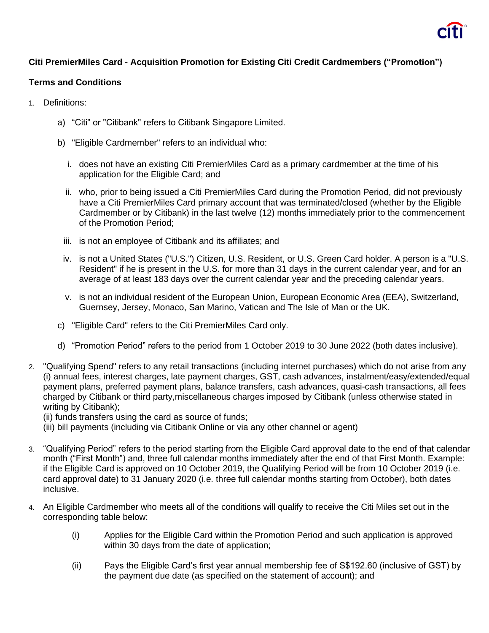

## **Citi PremierMiles Card - Acquisition Promotion for Existing Citi Credit Cardmembers ("Promotion")**

## **Terms and Conditions**

- 1. Definitions:
	- a) "Citi" or "Citibank" refers to Citibank Singapore Limited.
	- b) "Eligible Cardmember" refers to an individual who:
		- i. does not have an existing Citi PremierMiles Card as a primary cardmember at the time of his application for the Eligible Card; and
		- ii. who, prior to being issued a Citi PremierMiles Card during the Promotion Period, did not previously have a Citi PremierMiles Card primary account that was terminated/closed (whether by the Eligible Cardmember or by Citibank) in the last twelve (12) months immediately prior to the commencement of the Promotion Period;
		- iii. is not an employee of Citibank and its affiliates; and
		- iv. is not a United States ("U.S.") Citizen, U.S. Resident, or U.S. Green Card holder. A person is a "U.S. Resident" if he is present in the U.S. for more than 31 days in the current calendar year, and for an average of at least 183 days over the current calendar year and the preceding calendar years.
		- v. is not an individual resident of the European Union, European Economic Area (EEA), Switzerland, Guernsey, Jersey, Monaco, San Marino, Vatican and The Isle of Man or the UK.
	- c) "Eligible Card" refers to the Citi PremierMiles Card only.
	- d) "Promotion Period" refers to the period from 1 October 2019 to 30 June 2022 (both dates inclusive).
- 2. "Qualifying Spend" refers to any retail transactions (including internet purchases) which do not arise from any (i) annual fees, interest charges, late payment charges, GST, cash advances, instalment/easy/extended/equal payment plans, preferred payment plans, balance transfers, cash advances, quasi-cash transactions, all fees charged by Citibank or third party,miscellaneous charges imposed by Citibank (unless otherwise stated in writing by Citibank);

(ii) funds transfers using the card as source of funds;

(iii) bill payments (including via Citibank Online or via any other channel or agent)

- 3. "Qualifying Period" refers to the period starting from the Eligible Card approval date to the end of that calendar month ("First Month") and, three full calendar months immediately after the end of that First Month. Example: if the Eligible Card is approved on 10 October 2019, the Qualifying Period will be from 10 October 2019 (i.e. card approval date) to 31 January 2020 (i.e. three full calendar months starting from October), both dates inclusive.
- 4. An Eligible Cardmember who meets all of the conditions will qualify to receive the Citi Miles set out in the corresponding table below:
	- (i) Applies for the Eligible Card within the Promotion Period and such application is approved within 30 days from the date of application;
	- (ii) Pays the Eligible Card's first year annual membership fee of S\$192.60 (inclusive of GST) by the payment due date (as specified on the statement of account); and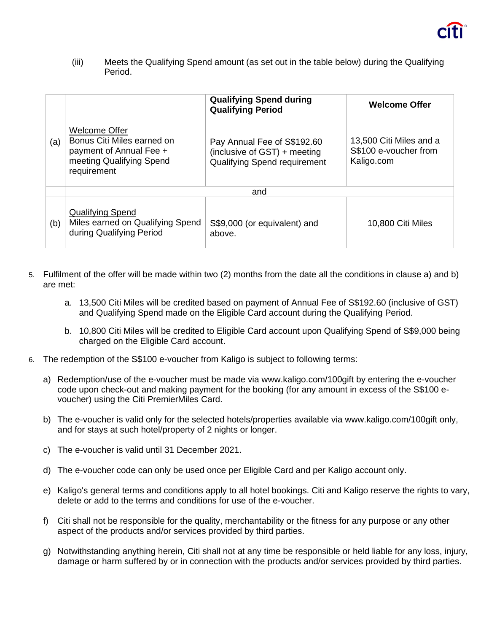(iii) Meets the Qualifying Spend amount (as set out in the table below) during the Qualifying Period.

|     |                                                                                                                   | <b>Qualifying Spend during</b><br><b>Qualifying Period</b>                                  | <b>Welcome Offer</b>                                           |
|-----|-------------------------------------------------------------------------------------------------------------------|---------------------------------------------------------------------------------------------|----------------------------------------------------------------|
| (a) | Welcome Offer<br>Bonus Citi Miles earned on<br>payment of Annual Fee +<br>meeting Qualifying Spend<br>requirement | Pay Annual Fee of S\$192.60<br>(inclusive of GST) + meeting<br>Qualifying Spend requirement | 13,500 Citi Miles and a<br>S\$100 e-voucher from<br>Kaligo.com |
|     | and                                                                                                               |                                                                                             |                                                                |
| (b) | <b>Qualifying Spend</b><br>Miles earned on Qualifying Spend<br>during Qualifying Period                           | S\$9,000 (or equivalent) and<br>above.                                                      | 10,800 Citi Miles                                              |

- 5. Fulfilment of the offer will be made within two (2) months from the date all the conditions in clause a) and b) are met:
	- a. 13,500 Citi Miles will be credited based on payment of Annual Fee of S\$192.60 (inclusive of GST) and Qualifying Spend made on the Eligible Card account during the Qualifying Period.
	- b. 10,800 Citi Miles will be credited to Eligible Card account upon Qualifying Spend of S\$9,000 being charged on the Eligible Card account.
- 6. The redemption of the S\$100 e-voucher from Kaligo is subject to following terms:
	- a) Redemption/use of the e-voucher must be made via www.kaligo.com/100gift by entering the e-voucher code upon check-out and making payment for the booking (for any amount in excess of the S\$100 evoucher) using the Citi PremierMiles Card.
	- b) The e-voucher is valid only for the selected hotels/properties available via www.kaligo.com/100gift only, and for stays at such hotel/property of 2 nights or longer.
	- c) The e-voucher is valid until 31 December 2021.
	- d) The e-voucher code can only be used once per Eligible Card and per Kaligo account only.
	- e) Kaligo's general terms and conditions apply to all hotel bookings. Citi and Kaligo reserve the rights to vary, delete or add to the terms and conditions for use of the e-voucher.
	- f) Citi shall not be responsible for the quality, merchantability or the fitness for any purpose or any other aspect of the products and/or services provided by third parties.
	- g) Notwithstanding anything herein, Citi shall not at any time be responsible or held liable for any loss, injury, damage or harm suffered by or in connection with the products and/or services provided by third parties.